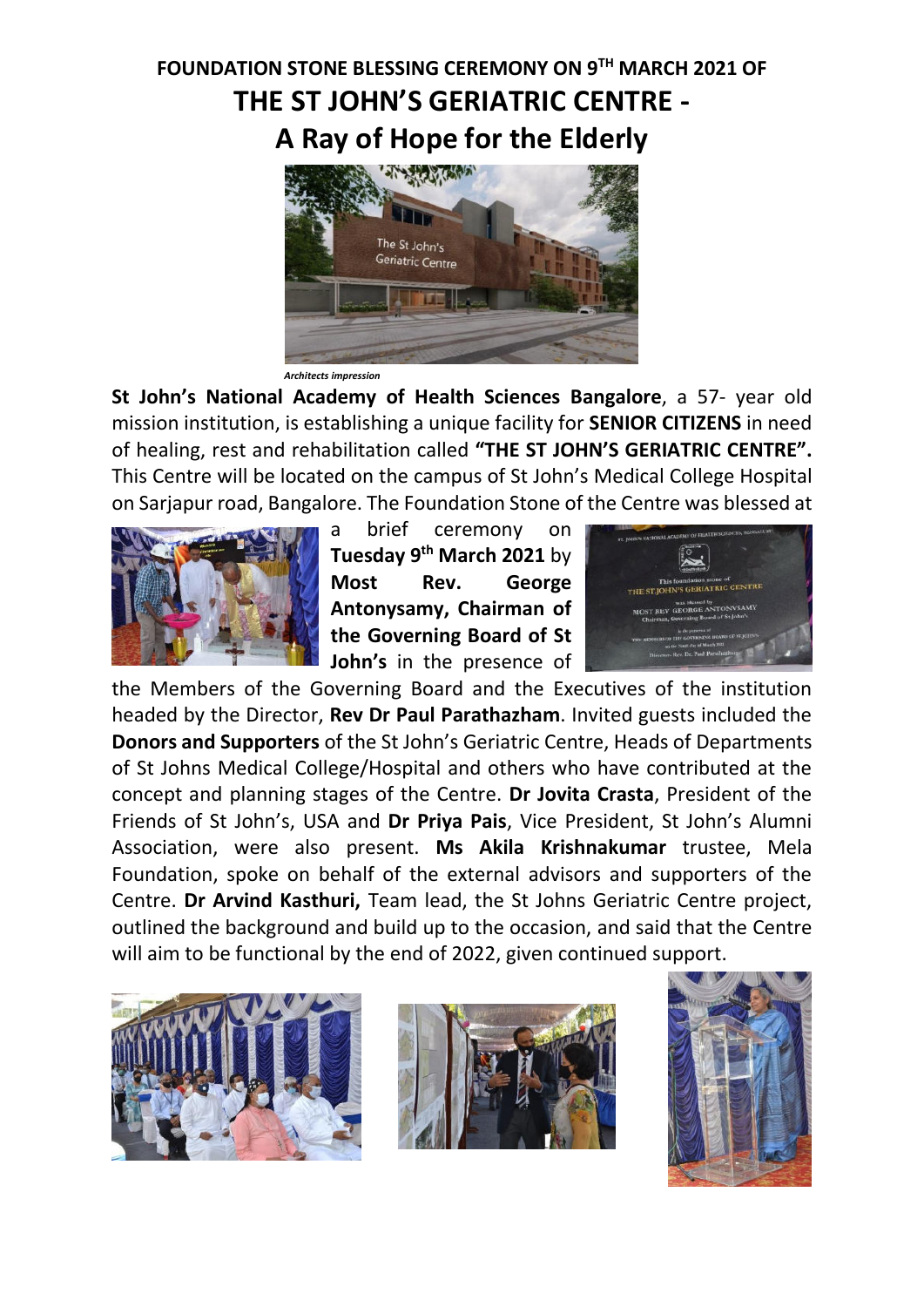## **FOUNDATION STONE BLESSING CEREMONY ON 9TH MARCH 2021 OF THE ST JOHN'S GERIATRIC CENTRE - A Ray of Hope for the Elderly**



*Architects impression* 

**St John's National Academy of Health Sciences Bangalore**, a 57- year old mission institution, is establishing a unique facility for **SENIOR CITIZENS** in need of healing, rest and rehabilitation called **"THE ST JOHN'S GERIATRIC CENTRE".** This Centre will be located on the campus of St John's Medical College Hospital on Sarjapur road, Bangalore. The Foundation Stone of the Centre was blessed at



a brief ceremony on **Tuesday 9th March 2021** by **Most Rev. George Antonysamy, Chairman of the Governing Board of St John's** in the presence of



the Members of the Governing Board and the Executives of the institution headed by the Director, **Rev Dr Paul Parathazham**. Invited guests included the **Donors and Supporters** of the St John's Geriatric Centre, Heads of Departments of St Johns Medical College/Hospital and others who have contributed at the concept and planning stages of the Centre. **Dr Jovita Crasta**, President of the Friends of St John's, USA and **Dr Priya Pais**, Vice President, St John's Alumni Association, were also present. **Ms Akila Krishnakumar** trustee, Mela Foundation, spoke on behalf of the external advisors and supporters of the Centre. **Dr Arvind Kasthuri,** Team lead, the St Johns Geriatric Centre project, outlined the background and build up to the occasion, and said that the Centre will aim to be functional by the end of 2022, given continued support.